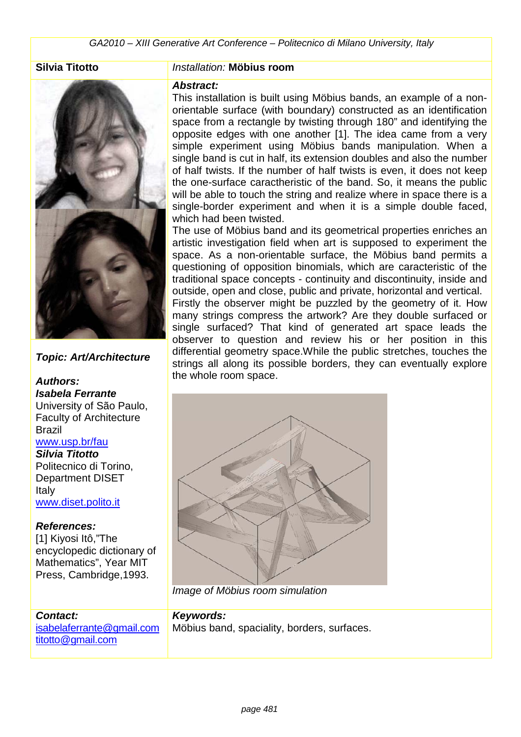

### **Topic: Art/Architecture**

# **Authors:**

**Isabela Ferrante**  University of São Paulo, Faculty of Architecture Brazil

## www.usp.br/fau

**Silvia Titotto**  Politecnico di Torino, Department DISET Italy www.diset.polito.it

### **References:**

[1] Kiyosi Itô,"The encyclopedic dictionary of Mathematics", Year MIT Press, Cambridge,1993.

### **Contact:**

isabelaferrante@gmail.com titotto@gmail.com

### **Silvia Titotto** Installation: **Möbius room**

### **Abstract:**

This installation is built using Möbius bands, an example of a nonorientable surface (with boundary) constructed as an identification space from a rectangle by twisting through 180" and identifying the opposite edges with one another [1]. The idea came from a very simple experiment using Möbius bands manipulation. When a single band is cut in half, its extension doubles and also the number of half twists. If the number of half twists is even, it does not keep the one-surface caractheristic of the band. So, it means the public will be able to touch the string and realize where in space there is a single-border experiment and when it is a simple double faced, which had been twisted.

The use of Möbius band and its geometrical properties enriches an artistic investigation field when art is supposed to experiment the space. As a non-orientable surface, the Möbius band permits a questioning of opposition binomials, which are caracteristic of the traditional space concepts - continuity and discontinuity, inside and outside, open and close, public and private, horizontal and vertical. Firstly the observer might be puzzled by the geometry of it. How many strings compress the artwork? Are they double surfaced or single surfaced? That kind of generated art space leads the observer to question and review his or her position in this differential geometry space.While the public stretches, touches the strings all along its possible borders, they can eventually explore the whole room space.



Image of Möbius room simulation

### **Keywords:**

Möbius band, spaciality, borders, surfaces.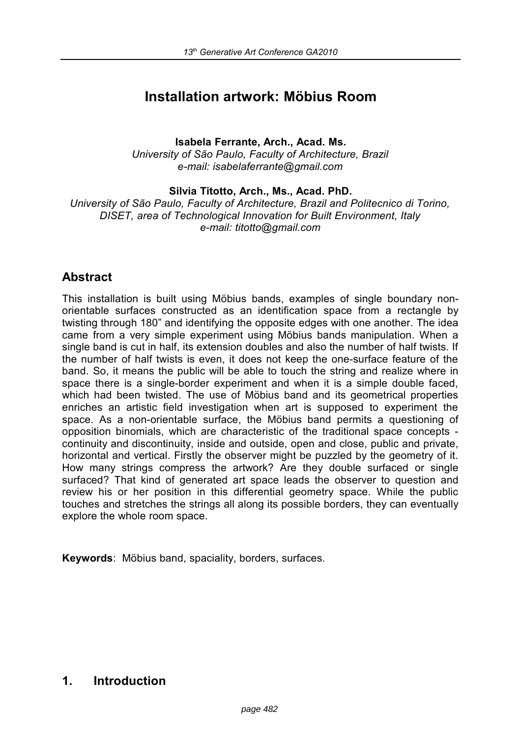# **Installation artwork: Möbius Room**

**Isabela Ferrante, Arch., Acad. Ms.** *University of São Paulo, Faculty of Architecture, Brazil e-mail: isabelaferrante@gmail.com*

**Silvia Titotto, Arch., Ms., Acad. PhD.**

*University of São Paulo, Faculty of Architecture, Brazil and Politecnico di Torino, DISET, area of Technological Innovation for Built Environment, Italy e-mail: titotto@gmail.com*

# **Abstract**

This installation is built using Möbius bands, examples of single boundary nonorientable surfaces constructed as an identification space from a rectangle by twisting through 180" and identifying the opposite edges with one another. The idea came from a very simple experiment using Möbius bands manipulation. When a single band is cut in half, its extension doubles and also the number of half twists. If the number of half twists is even, it does not keep the one-surface feature of the band. So, it means the public will be able to touch the string and realize where in space there is a single-border experiment and when it is a simple double faced, which had been twisted. The use of Möbius band and its geometrical properties enriches an artistic field investigation when art is supposed to experiment the space. As a non-orientable surface, the Möbius band permits a questioning of opposition binomials, which are characteristic of the traditional space concepts continuity and discontinuity, inside and outside, open and close, public and private, horizontal and vertical. Firstly the observer might be puzzled by the geometry of it. How many strings compress the artwork? Are they double surfaced or single surfaced? That kind of generated art space leads the observer to question and review his or her position in this differential geometry space. While the public touches and stretches the strings all along its possible borders, they can eventually explore the whole room space.

**Keywords**: Möbius band, spaciality, borders, surfaces.

# **1. Introduction**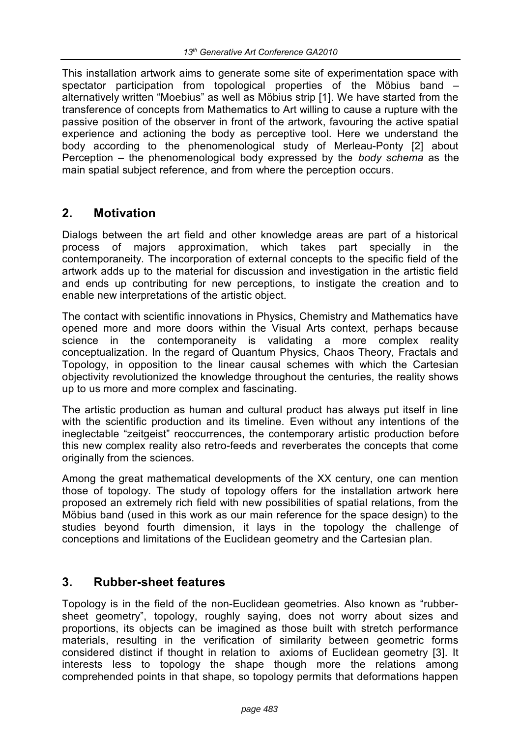This installation artwork aims to generate some site of experimentation space with spectator participation from topological properties of the Möbius band – alternatively written "Moebius" as well as Möbius strip [1]. We have started from the transference of concepts from Mathematics to Art willing to cause a rupture with the passive position of the observer in front of the artwork, favouring the active spatial experience and actioning the body as perceptive tool. Here we understand the body according to the phenomenological study of Merleau-Ponty [2] about Perception – the phenomenological body expressed by the *body schema* as the main spatial subject reference, and from where the perception occurs.

# **2. Motivation**

Dialogs between the art field and other knowledge areas are part of a historical process of majors approximation, which takes part specially in the contemporaneity. The incorporation of external concepts to the specific field of the artwork adds up to the material for discussion and investigation in the artistic field and ends up contributing for new perceptions, to instigate the creation and to enable new interpretations of the artistic object.

The contact with scientific innovations in Physics, Chemistry and Mathematics have opened more and more doors within the Visual Arts context, perhaps because science in the contemporaneity is validating a more complex reality conceptualization. In the regard of Quantum Physics, Chaos Theory, Fractals and Topology, in opposition to the linear causal schemes with which the Cartesian objectivity revolutionized the knowledge throughout the centuries, the reality shows up to us more and more complex and fascinating.

The artistic production as human and cultural product has always put itself in line with the scientific production and its timeline. Even without any intentions of the ineglectable "zeitgeist" reoccurrences, the contemporary artistic production before this new complex reality also retro-feeds and reverberates the concepts that come originally from the sciences.

Among the great mathematical developments of the XX century, one can mention those of topology. The study of topology offers for the installation artwork here proposed an extremely rich field with new possibilities of spatial relations, from the Möbius band (used in this work as our main reference for the space design) to the studies beyond fourth dimension, it lays in the topology the challenge of conceptions and limitations of the Euclidean geometry and the Cartesian plan.

# **3. Rubber-sheet features**

Topology is in the field of the non-Euclidean geometries. Also known as "rubbersheet geometry", topology, roughly saying, does not worry about sizes and proportions, its objects can be imagined as those built with stretch performance materials, resulting in the verification of similarity between geometric forms considered distinct if thought in relation to axioms of Euclidean geometry [3]. It interests less to topology the shape though more the relations among comprehended points in that shape, so topology permits that deformations happen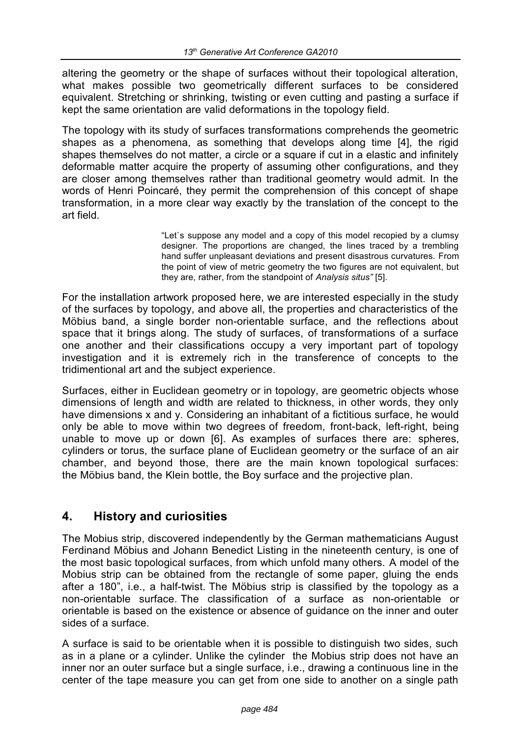altering the geometry or the shape of surfaces without their topological alteration, what makes possible two geometrically different surfaces to be considered equivalent. Stretching or shrinking, twisting or even cutting and pasting a surface if kept the same orientation are valid deformations in the topology field.

The topology with its study of surfaces transformations comprehends the geometric shapes as a phenomena, as something that develops along time [4], the rigid shapes themselves do not matter, a circle or a square if cut in a elastic and infinitely deformable matter acquire the property of assuming other configurations, and they are closer among themselves rather than traditional geometry would admit. In the words of Henri Poincaré, they permit the comprehension of this concept of shape transformation, in a more clear way exactly by the translation of the concept to the art field.

> "Let`s suppose any model and a copy of this model recopied by a clumsy designer. The proportions are changed, the lines traced by a trembling hand suffer unpleasant deviations and present disastrous curvatures. From the point of view of metric geometry the two figures are not equivalent, but they are, rather, from the standpoint of *Analysis situs"* [5].

For the installation artwork proposed here, we are interested especially in the study of the surfaces by topology, and above all, the properties and characteristics of the Möbius band, a single border non-orientable surface, and the reflections about space that it brings along. The study of surfaces, of transformations of a surface one another and their classifications occupy a very important part of topology investigation and it is extremely rich in the transference of concepts to the tridimentional art and the subject experience.

Surfaces, either in Euclidean geometry or in topology, are geometric objects whose dimensions of length and width are related to thickness, in other words, they only have dimensions x and y. Considering an inhabitant of a fictitious surface, he would only be able to move within two degrees of freedom, front-back, left-right, being unable to move up or down [6]. As examples of surfaces there are: spheres, cylinders or torus, the surface plane of Euclidean geometry or the surface of an air chamber, and beyond those, there are the main known topological surfaces: the Möbius band, the Klein bottle, the Boy surface and the projective plan.

# **4. History and curiosities**

The Mobius strip, discovered independently by the German mathematicians August Ferdinand Möbius and Johann Benedict Listing in the nineteenth century, is one of the most basic topological surfaces, from which unfold many others. A model of the Mobius strip can be obtained from the rectangle of some paper, gluing the ends after a 180", i.e., a half-twist. The Möbius strip is classified by the topology as a non-orientable surface. The classification of a surface as non-orientable or orientable is based on the existence or absence of guidance on the inner and outer sides of a surface.

A surface is said to be orientable when it is possible to distinguish two sides, such as in a plane or a cylinder. Unlike the cylinder the Mobius strip does not have an inner nor an outer surface but a single surface, i.e., drawing a continuous line in the center of the tape measure you can get from one side to another on a single path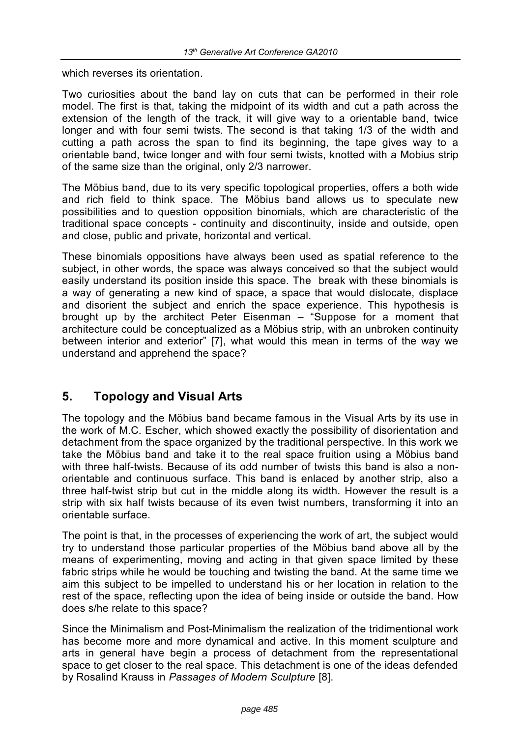which reverses its orientation

Two curiosities about the band lay on cuts that can be performed in their role model. The first is that, taking the midpoint of its width and cut a path across the extension of the length of the track, it will give way to a orientable band, twice longer and with four semi twists. The second is that taking 1/3 of the width and cutting a path across the span to find its beginning, the tape gives way to a orientable band, twice longer and with four semi twists, knotted with a Mobius strip of the same size than the original, only 2/3 narrower.

The Möbius band, due to its very specific topological properties, offers a both wide and rich field to think space. The Möbius band allows us to speculate new possibilities and to question opposition binomials, which are characteristic of the traditional space concepts - continuity and discontinuity, inside and outside, open and close, public and private, horizontal and vertical.

These binomials oppositions have always been used as spatial reference to the subject, in other words, the space was always conceived so that the subject would easily understand its position inside this space. The break with these binomials is a way of generating a new kind of space, a space that would dislocate, displace and disorient the subject and enrich the space experience. This hypothesis is brought up by the architect Peter Eisenman – "Suppose for a moment that architecture could be conceptualized as a Möbius strip, with an unbroken continuity between interior and exterior" [7], what would this mean in terms of the way we understand and apprehend the space?

# **5. Topology and Visual Arts**

The topology and the Möbius band became famous in the Visual Arts by its use in the work of M.C. Escher, which showed exactly the possibility of disorientation and detachment from the space organized by the traditional perspective. In this work we take the Möbius band and take it to the real space fruition using a Möbius band with three half-twists. Because of its odd number of twists this band is also a nonorientable and continuous surface. This band is enlaced by another strip, also a three half-twist strip but cut in the middle along its width. However the result is a strip with six half twists because of its even twist numbers, transforming it into an orientable surface.

The point is that, in the processes of experiencing the work of art, the subject would try to understand those particular properties of the Möbius band above all by the means of experimenting, moving and acting in that given space limited by these fabric strips while he would be touching and twisting the band. At the same time we aim this subject to be impelled to understand his or her location in relation to the rest of the space, reflecting upon the idea of being inside or outside the band. How does s/he relate to this space?

Since the Minimalism and Post-Minimalism the realization of the tridimentional work has become more and more dynamical and active. In this moment sculpture and arts in general have begin a process of detachment from the representational space to get closer to the real space. This detachment is one of the ideas defended by Rosalind Krauss in *Passages of Modern Sculpture* [8].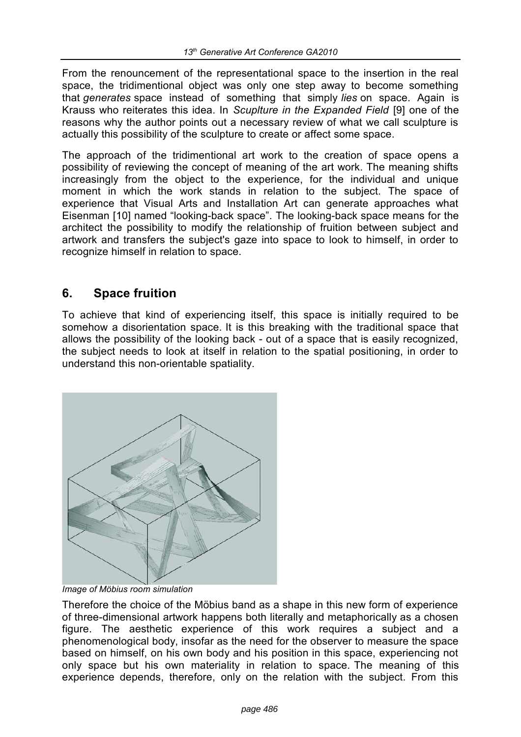From the renouncement of the representational space to the insertion in the real space, the tridimentional object was only one step away to become something that *generates* space instead of something that simply *lies* on space. Again is Krauss who reiterates this idea. In *Scuplture in the Expanded Field* [9] one of the reasons why the author points out a necessary review of what we call sculpture is actually this possibility of the sculpture to create or affect some space.

The approach of the tridimentional art work to the creation of space opens a possibility of reviewing the concept of meaning of the art work. The meaning shifts increasingly from the object to the experience, for the individual and unique moment in which the work stands in relation to the subject. The space of experience that Visual Arts and Installation Art can generate approaches what Eisenman [10] named "looking-back space". The looking-back space means for the architect the possibility to modify the relationship of fruition between subject and artwork and transfers the subject's gaze into space to look to himself, in order to recognize himself in relation to space.

# **6. Space fruition**

To achieve that kind of experiencing itself, this space is initially required to be somehow a disorientation space. It is this breaking with the traditional space that allows the possibility of the looking back - out of a space that is easily recognized, the subject needs to look at itself in relation to the spatial positioning, in order to understand this non-orientable spatiality.



*Image of Möbius room simulation*

Therefore the choice of the Möbius band as a shape in this new form of experience of three-dimensional artwork happens both literally and metaphorically as a chosen figure. The aesthetic experience of this work requires a subject and a phenomenological body, insofar as the need for the observer to measure the space based on himself, on his own body and his position in this space, experiencing not only space but his own materiality in relation to space. The meaning of this experience depends, therefore, only on the relation with the subject. From this